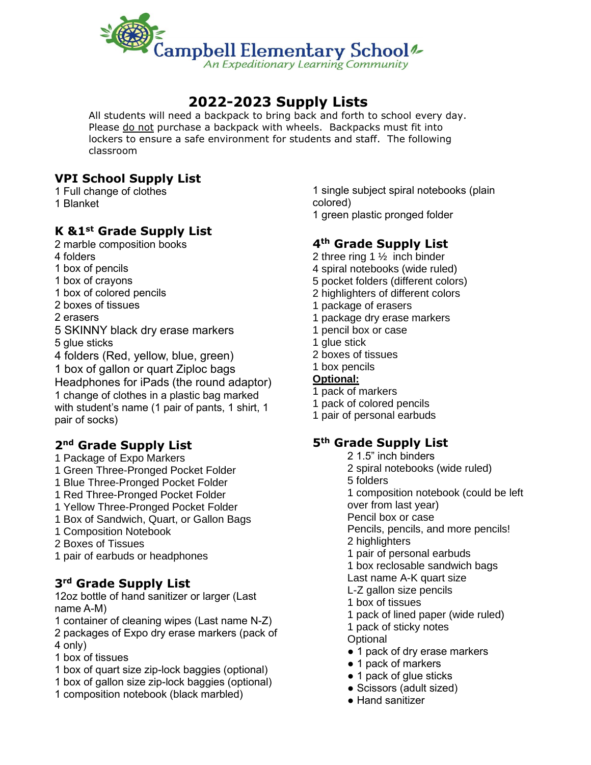

# **2022-2023 Supply Lists**

All students will need a backpack to bring back and forth to school every day. Please do not purchase a backpack with wheels. Backpacks must fit into lockers to ensure a safe environment for students and staff. The following classroom

# **VPI School Supply List**

1 Full change of clothes 1 Blanket

# **K &1st Grade Supply List**

- 2 marble composition books
- 4 folders
- 1 box of pencils
- 1 box of crayons
- 1 box of colored pencils
- 2 boxes of tissues
- 2 erasers
- 5 SKINNY black dry erase markers
- 5 glue sticks
- 4 folders (Red, yellow, blue, green)

1 box of gallon or quart Ziploc bags

Headphones for iPads (the round adaptor) 1 change of clothes in a plastic bag marked with student's name (1 pair of pants, 1 shirt, 1 pair of socks)

# **2nd Grade Supply List**

- 1 Package of Expo Markers
- 1 Green Three-Pronged Pocket Folder
- 1 Blue Three-Pronged Pocket Folder
- 1 Red Three-Pronged Pocket Folder
- 1 Yellow Three-Pronged Pocket Folder
- 1 Box of Sandwich, Quart, or Gallon Bags
- 1 Composition Notebook
- 2 Boxes of Tissues
- 1 pair of earbuds or headphones

# **3rd Grade Supply List**

12oz bottle of hand sanitizer or larger (Last name A-M)

- 1 container of cleaning wipes (Last name N-Z)
- 2 packages of Expo dry erase markers (pack of 4 only)
- 1 box of tissues
- 1 box of quart size zip-lock baggies (optional)
- 1 box of gallon size zip-lock baggies (optional)
- 1 composition notebook (black marbled)

1 single subject spiral notebooks (plain colored) 1 green plastic pronged folder

# **4th Grade Supply List**

- 2 three ring 1 ½ inch binder
- 4 spiral notebooks (wide ruled)
- 5 pocket folders (different colors)
- 2 highlighters of different colors
- 1 package of erasers
- 1 package dry erase markers
- 1 pencil box or case
- 1 glue stick
- 2 boxes of tissues
- 1 box pencils

#### **Optional:**

- 1 pack of markers
- 1 pack of colored pencils
- 1 pair of personal earbuds

# **5th Grade Supply List**

- 2 1.5" inch binders 2 spiral notebooks (wide ruled)
- 5 folders
- 1 composition notebook (could be left
- over from last year)
- Pencil box or case
- Pencils, pencils, and more pencils!
- 2 highlighters
- 1 pair of personal earbuds
- 1 box reclosable sandwich bags
- Last name A-K quart size
- L-Z gallon size pencils
- 1 box of tissues
- 1 pack of lined paper (wide ruled)
- 1 pack of sticky notes
- **Optional**
- 1 pack of dry erase markers
- 1 pack of markers
- 1 pack of glue sticks
- Scissors (adult sized)
- Hand sanitizer